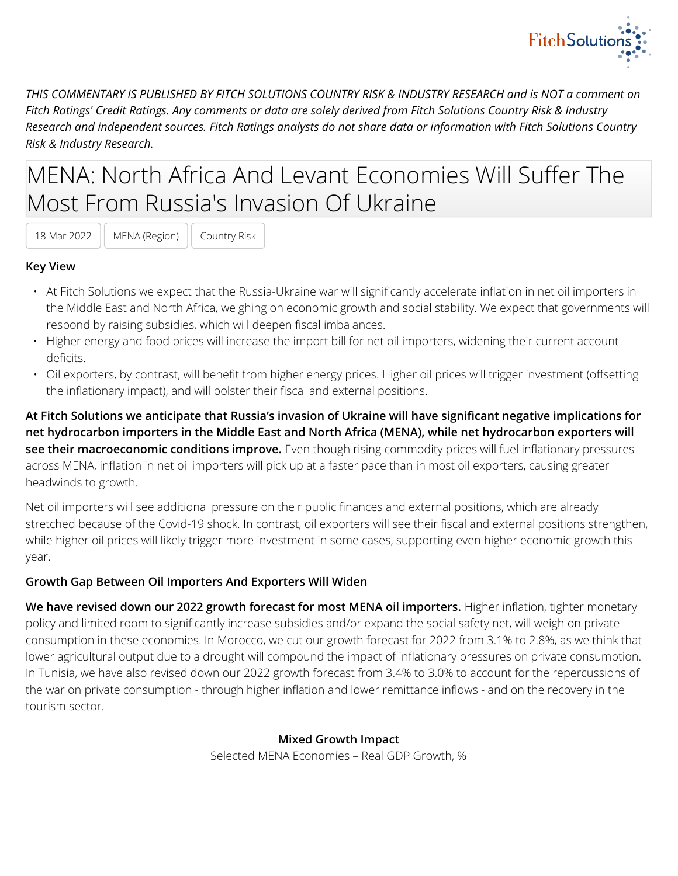

*THIS COMMENTARY IS PUBLISHED BY FITCH SOLUTIONS COUNTRY RISK & INDUSTRY RESEARCH and is NOT a comment on Fitch Ratings' Credit Ratings. Any comments or data are solely derived from Fitch Solutions Country Risk & Industry Research and independent sources. Fitch Ratings analysts do not share data or information with Fitch Solutions Country Risk & Industry Research.*

# MENA: North Africa And Levant Economies Will Suffer The Most From Russia's Invasion Of Ukraine

18 Mar 2022 | MENA (Region) | Country Risk

#### **Key View**

- At Fitch Solutions we expect that the Russia-Ukraine war will significantly accelerate inflation in net oil importers in the Middle East and North Africa, weighing on economic growth and social stability. We expect that governments will respond by raising subsidies, which will deepen fiscal imbalances.
- Higher energy and food prices will increase the import bill for net oil importers, widening their current account deficits.
- Oil exporters, by contrast, will benefit from higher energy prices. Higher oil prices will trigger investment (offsetting the inflationary impact), and will bolster their fiscal and external positions.

**At Fitch Solutions we anticipate that Russia's invasion of Ukraine will have significant negative implications for net hydrocarbon importers in the Middle East and North Africa (MENA), while net hydrocarbon exporters will see their macroeconomic conditions improve.** Even though rising commodity prices will fuel inflationary pressures across MENA, inflation in net oil importers will pick up at a faster pace than in most oil exporters, causing greater headwinds to growth.

Net oil importers will see additional pressure on their public finances and external positions, which are already stretched because of the Covid-19 shock. In contrast, oil exporters will see their fiscal and external positions strengthen, while higher oil prices will likely trigger more investment in some cases, supporting even higher economic growth this year.

#### **Growth Gap Between Oil Importers And Exporters Will Widen**

**We have revised down our 2022 growth forecast for most MENA oil importers.** Higher inflation, tighter monetary policy and limited room to significantly increase subsidies and/or expand the social safety net, will weigh on private consumption in these economies. In Morocco, we cut our growth forecast for 2022 from 3.1% to 2.8%, as we think that lower agricultural output due to a drought will compound the impact of inflationary pressures on private consumption. In Tunisia, we have also revised down our 2022 growth forecast from 3.4% to 3.0% to account for the repercussions of the war on private consumption - through higher inflation and lower remittance inflows - and on the recovery in the tourism sector.

**Mixed Growth Impact**

Selected MENA Economies – Real GDP Growth, %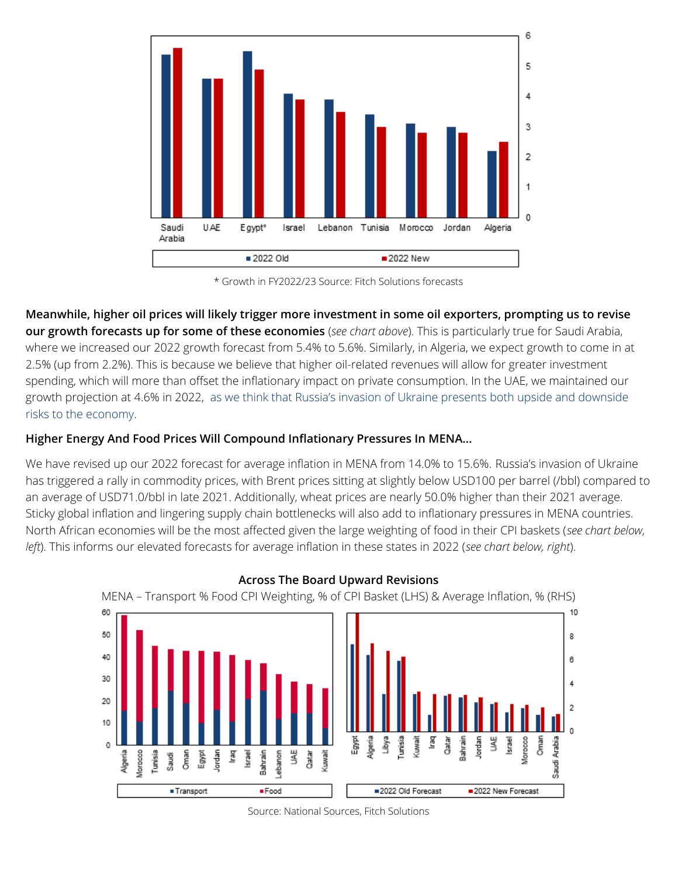

\* Growth in FY2022/23 Source: Fitch Solutions forecasts

**Meanwhile, higher oil prices will likely trigger more investment in some oil exporters, prompting us to revise our growth forecasts up for some of these economies** (*see chart above*). This is particularly true for Saudi Arabia, where we increased our 2022 growth forecast from 5.4% to 5.6%. Similarly, in Algeria, we expect growth to come in at 2.5% (up from 2.2%). This is because we believe that higher oil-related revenues will allow for greater investment spending, which will more than offset the inflationary impact on private consumption. In the UAE, we maintained our growth projection at 4.6% in 2022, [as we think that Russia's invasion of Ukraine presents both upside and downside](https://app.fitchconnect.com/article/BMI_721B12EF-1BA1-403C-AD5A-A79A2896DB3B%20) [risks to the economy](https://app.fitchconnect.com/article/BMI_721B12EF-1BA1-403C-AD5A-A79A2896DB3B%20).

## **Higher Energy And Food Prices Will Compound Inflationary Pressures In MENA…**

We have revised up our 2022 forecast for average inflation in MENA from 14.0% to 15.6%. Russia's invasion of Ukraine has triggered a rally in commodity prices, with Brent prices sitting at slightly below USD100 per barrel (/bbl) compared to an average of USD71.0/bbl in late 2021. Additionally, wheat prices are nearly 50.0% higher than their 2021 average. Sticky global inflation and lingering supply chain bottlenecks will also add to inflationary pressures in MENA countries. North African economies will be the most affected given the large weighting of food in their CPI baskets (*see chart below, left*). This informs our elevated forecasts for average inflation in these states in 2022 (*see chart below, right*).



#### **Across The Board Upward Revisions**

Source: National Sources, Fitch Solutions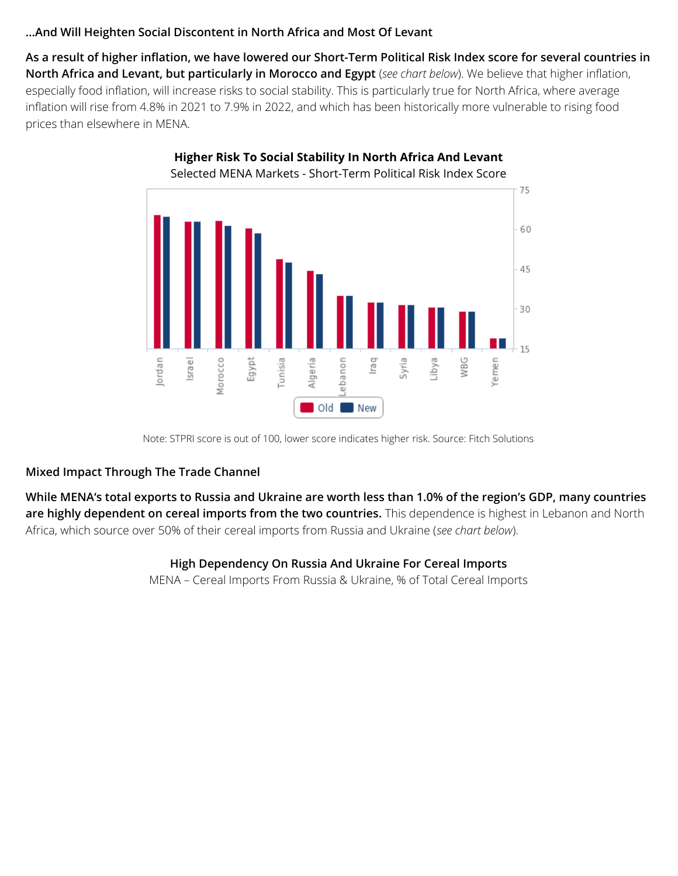#### **…And Will Heighten Social Discontent in North Africa and Most Of Levant**

**As a result of higher inflation, we have lowered our Short-Term Political Risk Index score for several countries in North Africa and Levant, but particularly in Morocco and Egypt** (*see chart below*). We believe that higher inflation, especially food inflation, will increase risks to social stability. This is particularly true for North Africa, where average inflation will rise from 4.8% in 2021 to 7.9% in 2022, and which has been historically more vulnerable to rising food prices than elsewhere in MENA.



**Higher Risk To Social Stability In North Africa And Levant**

#### **Mixed Impact Through The Trade Channel**

**While MENA's total exports to Russia and Ukraine are worth less than 1.0% of the region's GDP, many countries are highly dependent on cereal imports from the two countries.** This dependence is highest in Lebanon and North Africa, which source over 50% of their cereal imports from Russia and Ukraine (*see chart below*).

#### **High Dependency On Russia And Ukraine For Cereal Imports**

MENA – Cereal Imports From Russia & Ukraine, % of Total Cereal Imports

Note: STPRI score is out of 100, lower score indicates higher risk. Source: Fitch Solutions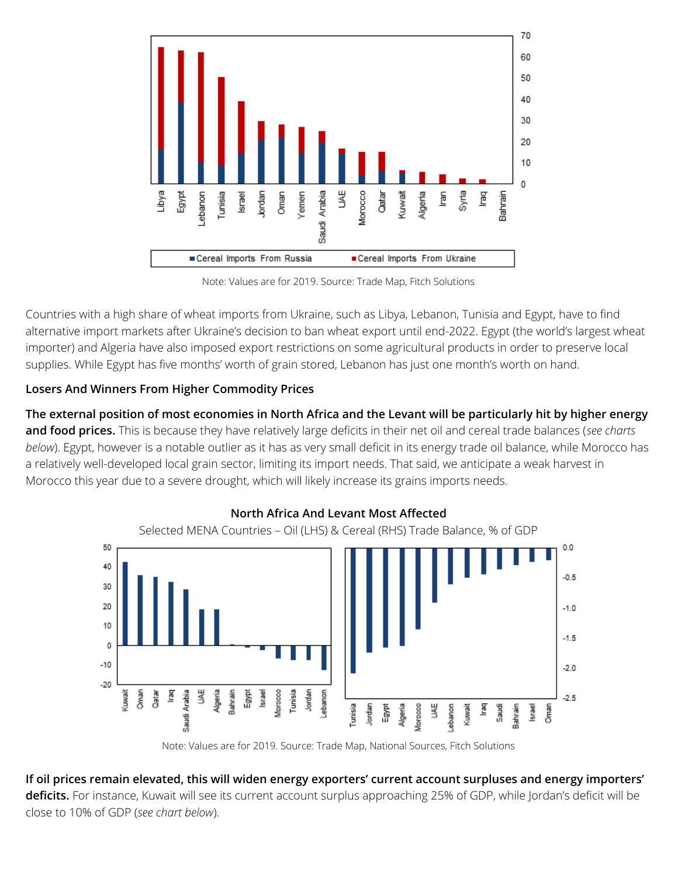

Note: Values are for 2019. Source: Trade Map, Fitch Solutions

Countries with a high share of wheat imports from Ukraine, such as Libya, Lebanon, Tunisia and Egypt, have to find alternative import markets after Ukraine's decision to ban wheat export until end-2022. Egypt (the world's largest wheat importer) and Algeria have also imposed export restrictions on some agricultural products in order to preserve local supplies. While Egypt has five months' worth of grain stored, Lebanon has just one month's worth on hand.

## **Losers And Winners From Higher Commodity Prices**

**The external position of most economies in North Africa and the Levant will be particularly hit by higher energy and food prices.** This is because they have relatively large deficits in their net oil and cereal trade balances (*see charts below*). Egypt, however is a notable outlier as it has as very small deficit in its energy trade oil balance, while Morocco has a relatively well-developed local grain sector, limiting its import needs. That said, we anticipate a weak harvest in Morocco this year due to a severe drought, which will likely increase its grains imports needs.



**North Africa And Levant Most Affected**

Note: Values are for 2019. Source: Trade Map, National Sources, Fitch Solutions

# **If oil prices remain elevated, this will widen energy exporters' current account surpluses and energy importers'**

**deficits.** For instance, Kuwait will see its current account surplus approaching 25% of GDP, while Jordan's deficit will be close to 10% of GDP (*see chart below*).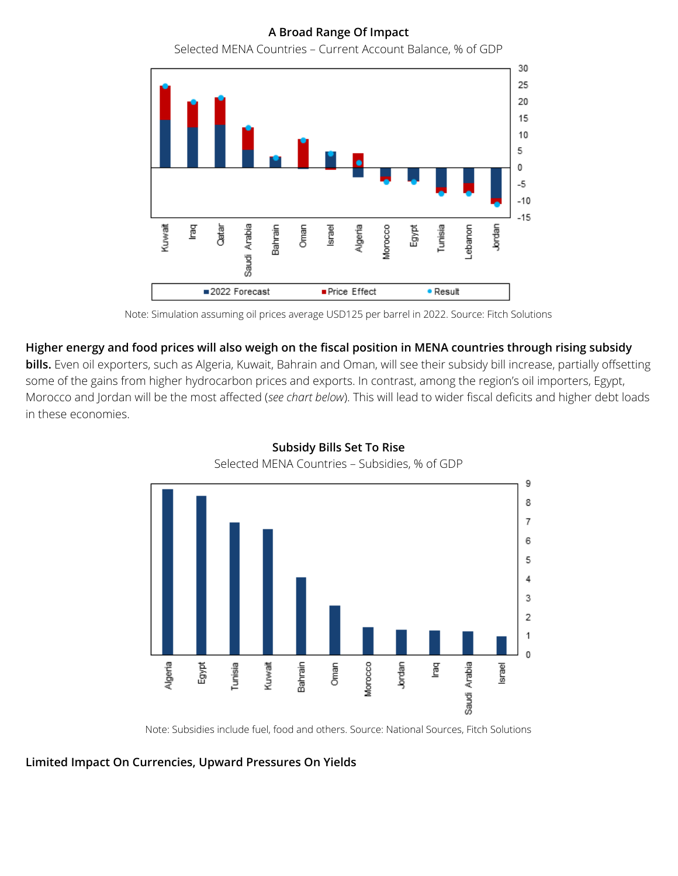**A Broad Range Of Impact**

30 25 20 15 10 5 0  $-5$  $-10$  $-15$ Jordan Kuwait Cartar Bahrain Oman Algeria Egypt Tunisia ğ Saudi Arabia Israel ebanon. Aorocco ■2022 Forecast Price Effect · Result

Selected MENA Countries – Current Account Balance, % of GDP

#### **Higher energy and food prices will also weigh on the fiscal position in MENA countries through rising subsidy**

**bills.** Even oil exporters, such as Algeria, Kuwait, Bahrain and Oman, will see their subsidy bill increase, partially offsetting some of the gains from higher hydrocarbon prices and exports. In contrast, among the region's oil importers, Egypt, Morocco and Jordan will be the most affected (*see chart below*). This will lead to wider fiscal deficits and higher debt loads in these economies.



#### **Subsidy Bills Set To Rise** Selected MENA Countries – Subsidies, % of GDP

Note: Subsidies include fuel, food and others. Source: National Sources, Fitch Solutions

**Limited Impact On Currencies, Upward Pressures On Yields**

Note: Simulation assuming oil prices average USD125 per barrel in 2022. Source: Fitch Solutions